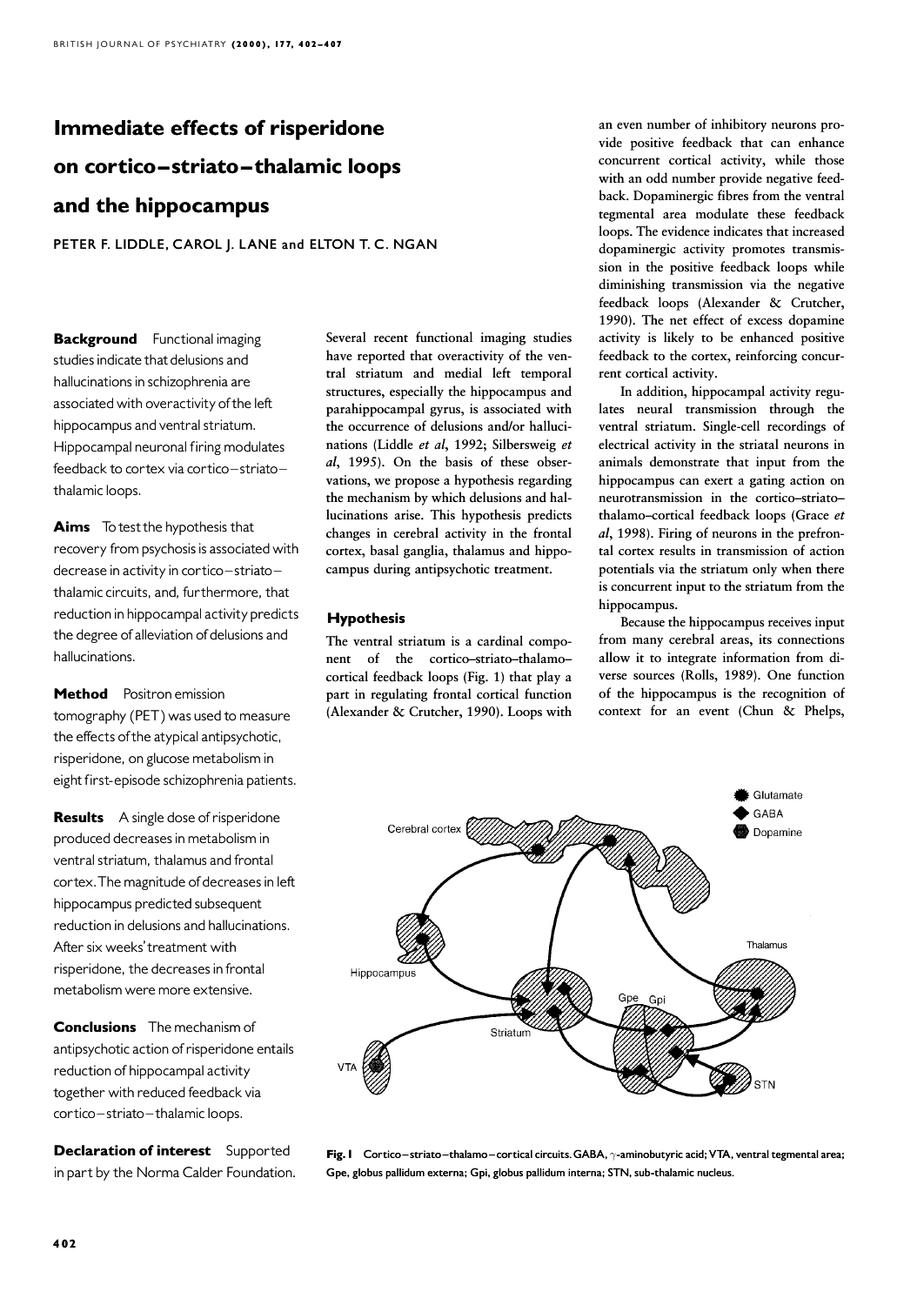# Immediate effects of risperidone on cortico-striato-thalamic loops and the hippocampus

PETER F. LIDDLE, CAROL J. LANE and ELTON T. C. NGAN

**Background** Functional imaging studies indicate that delusions and hallucinations in schizophrenia are associated with overactivity of the left hippocampus and ventral striatum. Hippocampal neuronal firing modulates feedback to cortex via cortico-striatothalamic loops.

Aims To test the hypothesis that recovery from psychosis is associated with decrease in activity in cortico-striatothalamic circuits, and, furthermore, that reduction in hippocampal activity predicts the degree of alleviation of delusions and hallucinations.

Method Positron emission tomography (PET) was used to measure the effects of the atypical antipsychotic, risperidone, on glucose metabolism in eight first-episode schizophrenia patients.

**Results** A single dose of risperidone produced decreases in metabolism in ventral striatum, thalamus and frontal cortex. The magnitude of decreases in left hippocampus predicted subsequent reduction in delusions and hallucinations. After six weeks' treatment with risperidone, the decreases in frontal metabolism were more extensive.

**Conclusions** The mechanism of antipsychotic action of risperidone entails reduction of hippocampal activity together with reduced feedback via cortico-striato-thalamic loops.

**Declaration of interest** Supported in part by the Norma Calder Foundation. Several recent functional imaging studies have reported that overactivity of the ventral striatum and medial left temporal structures, especially the hippocampus and parahippocampal gyrus, is associated with the occurrence of delusions and/or hallucinations (Liddle et al, 1992; Silbersweig et al, 1995). On the basis of these observations, we propose a hypothesis regarding the mechanism by which delusions and hallucinations arise. This hypothesis predicts changes in cerebral activity in the frontal cortex, basal ganglia, thalamus and hippocampus during antipsychotic treatment.

## **Hypothesis**

The ventral striatum is a cardinal component of the cortico-striato-thalamocortical feedback loops (Fig. 1) that play a part in regulating frontal cortical function (Alexander & Crutcher, 1990). Loops with an even number of inhibitory neurons provide positive feedback that can enhance concurrent cortical activity, while those with an odd number provide negative feedback. Dopaminergic fibres from the ventral tegmental area modulate these feedback loops. The evidence indicates that increased dopaminergic activity promotes transmission in the positive feedback loops while diminishing transmission via the negative feedback loops (Alexander & Crutcher, 1990). The net effect of excess dopamine activity is likely to be enhanced positive feedback to the cortex, reinforcing concurrent cortical activity.

In addition, hippocampal activity regulates neural transmission through the ventral striatum. Single-cell recordings of electrical activity in the striatal neurons in animals demonstrate that input from the hippocampus can exert a gating action on neurotransmission in the cortico-striatothalamo-cortical feedback loops (Grace et al, 1998). Firing of neurons in the prefrontal cortex results in transmission of action potentials via the striatum only when there is concurrent input to the striatum from the hippocampus.

Because the hippocampus receives input from many cerebral areas, its connections allow it to integrate information from diverse sources (Rolls, 1989). One function of the hippocampus is the recognition of context for an event (Chun & Phelps,



Fig. I Cortico-striato-thalamo-cortical circuits. GABA,  $\gamma$ -aminobutyric acid; VTA, ventral tegmental area; Gpe, globus pallidum externa; Gpi, globus pallidum interna; STN, sub-thalamic nucleus.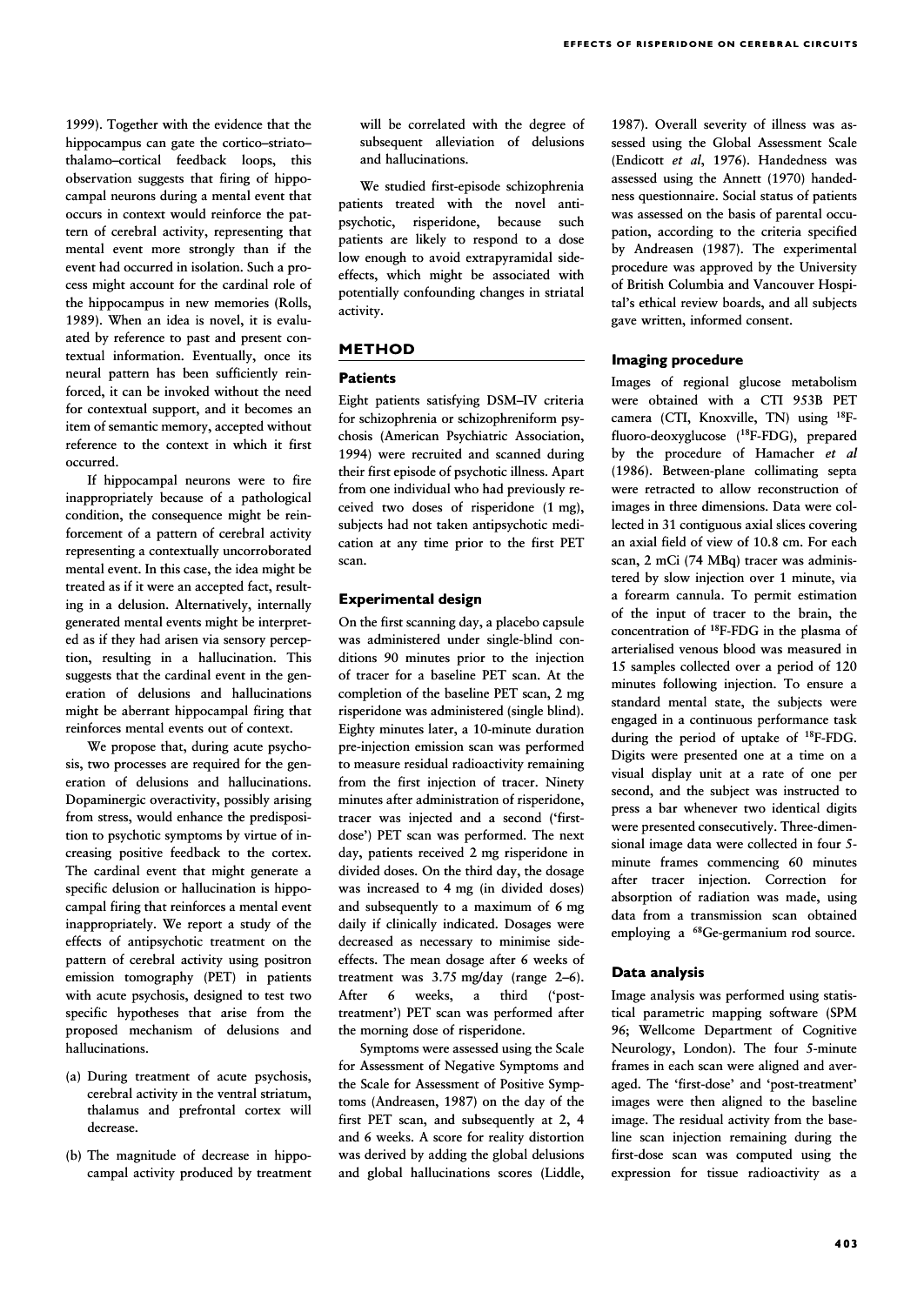1999). Together with the evidence that the hippocampus can gate the cortico-striatothalamo-cortical feedback loops, this observation suggests that firing of hippocampal neurons during a mental event that occurs in context would reinforce the pattern of cerebral activity, representing that mental event more strongly than if the event had occurred in isolation. Such a process might account for the cardinal role of the hippocampus in new memories (Rolls, 1989). When an idea is novel, it is evaluated by reference to past and present contextual information. Eventually, once its neural pattern has been sufficiently reinforced, it can be invoked without the need for contextual support, and it becomes an item of semantic memory, accepted without reference to the context in which it first occurred

If hippocampal neurons were to fire inappropriately because of a pathological condition, the consequence might be reinforcement of a pattern of cerebral activity representing a contextually uncorroborated mental event. In this case, the idea might be treated as if it were an accepted fact, resulting in a delusion. Alternatively, internally generated mental events might be interpreted as if they had arisen via sensory perception, resulting in a hallucination. This suggests that the cardinal event in the generation of delusions and hallucinations might be aberrant hippocampal firing that reinforces mental events out of context.

We propose that, during acute psychosis, two processes are required for the generation of delusions and hallucinations. Dopaminergic overactivity, possibly arising from stress, would enhance the predisposition to psychotic symptoms by virtue of increasing positive feedback to the cortex. The cardinal event that might generate a specific delusion or hallucination is hippocampal firing that reinforces a mental event inappropriately. We report a study of the effects of antipsychotic treatment on the pattern of cerebral activity using positron emission tomography (PET) in patients with acute psychosis, designed to test two specific hypotheses that arise from the proposed mechanism of delusions and hallucinations.

- (a) During treatment of acute psychosis, cerebral activity in the ventral striatum, thalamus and prefrontal cortex will decrease.
- (b) The magnitude of decrease in hippocampal activity produced by treatment

will be correlated with the degree of subsequent alleviation of delusions and hallucinations.

We studied first-episode schizophrenia patients treated with the novel antisuch psychotic, risperidone, because patients are likely to respond to a dose low enough to avoid extrapyramidal sideeffects, which might be associated with potentially confounding changes in striatal activity.

# **METHOD**

# **Patients**

Eight patients satisfying DSM-IV criteria for schizophrenia or schizophreniform psychosis (American Psychiatric Association, 1994) were recruited and scanned during their first episode of psychotic illness. Apart from one individual who had previously received two doses of risperidone (1 mg), subjects had not taken antipsychotic medication at any time prior to the first PET scan.

## **Experimental design**

On the first scanning day, a placebo capsule was administered under single-blind conditions 90 minutes prior to the injection of tracer for a baseline PET scan. At the completion of the baseline PET scan, 2 mg risperidone was administered (single blind). Eighty minutes later, a 10-minute duration pre-injection emission scan was performed to measure residual radioactivity remaining from the first injection of tracer. Ninety minutes after administration of risperidone, tracer was injected and a second ('firstdose') PET scan was performed. The next day, patients received 2 mg risperidone in divided doses. On the third day, the dosage was increased to 4 mg (in divided doses) and subsequently to a maximum of 6 mg daily if clinically indicated. Dosages were decreased as necessary to minimise sideeffects. The mean dosage after 6 weeks of treatment was 3.75 mg/day (range 2-6). After 6 weeks, a third  $'post$ treatment') PET scan was performed after the morning dose of risperidone.

Symptoms were assessed using the Scale for Assessment of Negative Symptoms and the Scale for Assessment of Positive Symptoms (Andreasen, 1987) on the day of the first PET scan, and subsequently at 2, 4 and 6 weeks. A score for reality distortion was derived by adding the global delusions and global hallucinations scores (Liddle, 1987). Overall severity of illness was assessed using the Global Assessment Scale (Endicott et al, 1976). Handedness was assessed using the Annett (1970) handedness questionnaire. Social status of patients was assessed on the basis of parental occupation, according to the criteria specified by Andreasen (1987). The experimental procedure was approved by the University of British Columbia and Vancouver Hospital's ethical review boards, and all subjects gave written, informed consent.

#### **Imaging procedure**

Images of regional glucose metabolism were obtained with a CTI 953B PET camera (CTI, Knoxville, TN) using <sup>18</sup>Ffluoro-deoxyglucose (<sup>18</sup>F-FDG), prepared by the procedure of Hamacher et al (1986). Between-plane collimating septa were retracted to allow reconstruction of images in three dimensions. Data were collected in 31 contiguous axial slices covering an axial field of view of 10.8 cm. For each scan, 2 mCi (74 MBq) tracer was administered by slow injection over 1 minute, via a forearm cannula. To permit estimation of the input of tracer to the brain, the concentration of <sup>18</sup>F-FDG in the plasma of arterialised venous blood was measured in 15 samples collected over a period of 120 minutes following injection. To ensure a standard mental state, the subjects were engaged in a continuous performance task during the period of uptake of <sup>18</sup>F-FDG. Digits were presented one at a time on a visual display unit at a rate of one per second, and the subject was instructed to press a bar whenever two identical digits were presented consecutively. Three-dimensional image data were collected in four 5minute frames commencing 60 minutes after tracer injection. Correction for absorption of radiation was made, using data from a transmission scan obtained employing a <sup>68</sup>Ge-germanium rod source.

## Data analysis

Image analysis was performed using statistical parametric mapping software (SPM 96; Wellcome Department of Cognitive Neurology, London). The four 5-minute frames in each scan were aligned and averaged. The 'first-dose' and 'post-treatment' images were then aligned to the baseline image. The residual activity from the baseline scan injection remaining during the first-dose scan was computed using the expression for tissue radioactivity as a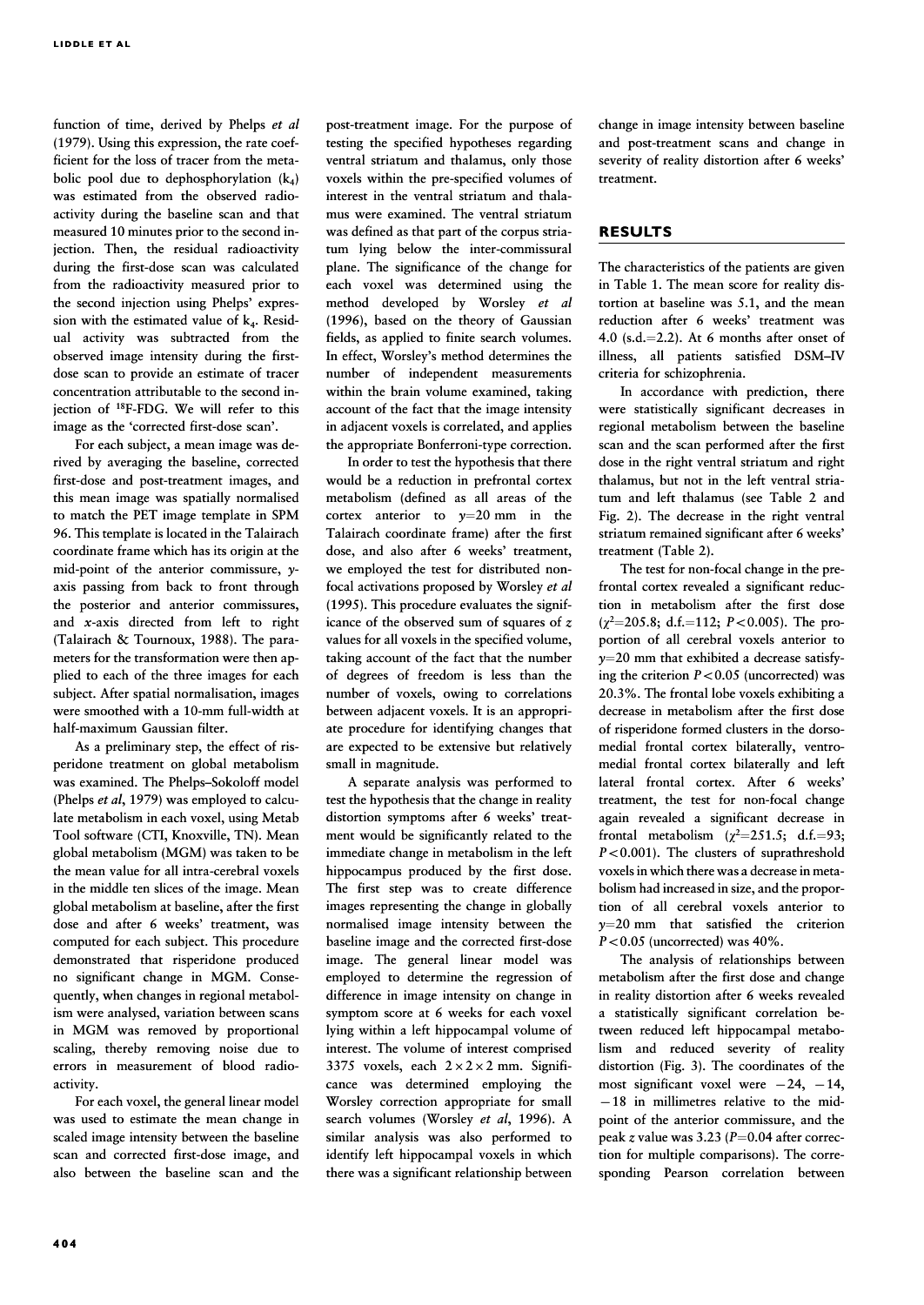function of time, derived by Phelps et al (1979). Using this expression, the rate coefficient for the loss of tracer from the metabolic pool due to dephosphorylation  $(k_4)$ was estimated from the observed radioactivity during the baseline scan and that measured 10 minutes prior to the second injection. Then, the residual radioactivity during the first-dose scan was calculated from the radioactivity measured prior to the second injection using Phelps' expression with the estimated value of  $k<sub>4</sub>$ . Residual activity was subtracted from the observed image intensity during the firstdose scan to provide an estimate of tracer concentration attributable to the second injection of <sup>18</sup>F-FDG. We will refer to this image as the 'corrected first-dose scan'.

For each subject, a mean image was derived by averaging the baseline, corrected first-dose and post-treatment images, and this mean image was spatially normalised to match the PET image template in SPM 96. This template is located in the Talairach coordinate frame which has its origin at the mid-point of the anterior commissure,  $\nu$ axis passing from back to front through the posterior and anterior commissures, and x-axis directed from left to right (Talairach & Tournoux, 1988). The parameters for the transformation were then applied to each of the three images for each subject. After spatial normalisation, images were smoothed with a 10-mm full-width at half-maximum Gaussian filter.

As a preliminary step, the effect of risperidone treatment on global metabolism was examined. The Phelps-Sokoloff model (Phelps et al, 1979) was employed to calculate metabolism in each voxel, using Metab Tool software (CTI, Knoxville, TN). Mean global metabolism (MGM) was taken to be the mean value for all intra-cerebral voxels in the middle ten slices of the image. Mean global metabolism at baseline, after the first dose and after 6 weeks' treatment, was computed for each subject. This procedure demonstrated that risperidone produced no significant change in MGM. Consequently, when changes in regional metabolism were analysed, variation between scans in MGM was removed by proportional scaling, thereby removing noise due to errors in measurement of blood radioactivity.

For each voxel, the general linear model was used to estimate the mean change in scaled image intensity between the baseline scan and corrected first-dose image, and also between the baseline scan and the

post-treatment image. For the purpose of testing the specified hypotheses regarding ventral striatum and thalamus, only those voxels within the pre-specified volumes of interest in the ventral striatum and thalamus were examined. The ventral striatum was defined as that part of the corpus striatum lying below the inter-commissural plane. The significance of the change for each voxel was determined using the method developed by Worsley et al (1996), based on the theory of Gaussian fields, as applied to finite search volumes. In effect, Worsley's method determines the number of independent measurements within the brain volume examined, taking account of the fact that the image intensity in adjacent voxels is correlated, and applies the appropriate Bonferroni-type correction.

In order to test the hypothesis that there would be a reduction in prefrontal cortex metabolism (defined as all areas of the cortex anterior to  $y=20$  mm in the Talairach coordinate frame) after the first dose, and also after 6 weeks' treatment, we employed the test for distributed nonfocal activations proposed by Worsley et al (1995). This procedure evaluates the significance of the observed sum of squares of  $z$ values for all voxels in the specified volume, taking account of the fact that the number of degrees of freedom is less than the number of voxels, owing to correlations between adjacent voxels. It is an appropriate procedure for identifying changes that are expected to be extensive but relatively small in magnitude.

A separate analysis was performed to test the hypothesis that the change in reality distortion symptoms after 6 weeks' treatment would be significantly related to the immediate change in metabolism in the left hippocampus produced by the first dose. The first step was to create difference images representing the change in globally normalised image intensity between the baseline image and the corrected first-dose image. The general linear model was employed to determine the regression of difference in image intensity on change in symptom score at 6 weeks for each voxel lying within a left hippocampal volume of interest. The volume of interest comprised 3375 voxels, each  $2 \times 2 \times 2$  mm. Significance was determined employing the Worsley correction appropriate for small search volumes (Worsley et al. 1996). A similar analysis was also performed to identify left hippocampal voxels in which there was a significant relationship between

change in image intensity between baseline and post-treatment scans and change in severity of reality distortion after 6 weeks' treatment.

# **RESULTS**

The characteristics of the patients are given in Table 1. The mean score for reality distortion at baseline was 5.1, and the mean reduction after 6 weeks' treatment was 4.0 (s.d.=2.2). At 6 months after onset of illness, all patients satisfied DSM-IV criteria for schizophrenia.

In accordance with prediction, there were statistically significant decreases in regional metabolism between the baseline scan and the scan performed after the first dose in the right ventral striatum and right thalamus, but not in the left ventral striatum and left thalamus (see Table 2 and Fig. 2). The decrease in the right ventral striatum remained significant after 6 weeks' treatment (Table 2).

The test for non-focal change in the prefrontal cortex revealed a significant reduction in metabolism after the first dose  $(\gamma^2=205.8; d.f.=112; P<0.005)$ . The proportion of all cerebral voxels anterior to  $v=20$  mm that exhibited a decrease satisfying the criterion  $P < 0.05$  (uncorrected) was 20.3%. The frontal lobe voxels exhibiting a decrease in metabolism after the first dose of risperidone formed clusters in the dorsomedial frontal cortex bilaterally, ventromedial frontal cortex bilaterally and left lateral frontal cortex. After 6 weeks' treatment, the test for non-focal change again revealed a significant decrease in frontal metabolism  $(\chi^2=251.5; d.f.=93;$  $P < 0.001$ ). The clusters of suprathreshold voxels in which there was a decrease in metabolism had increased in size, and the proportion of all cerebral voxels anterior to  $y=20$  mm that satisfied the criterion  $P < 0.05$  (uncorrected) was 40%.

The analysis of relationships between metabolism after the first dose and change in reality distortion after 6 weeks revealed a statistically significant correlation between reduced left hippocampal metabolism and reduced severity of reality distortion (Fig. 3). The coordinates of the most significant voxel were  $-24$ ,  $-14$ ,  $-18$  in millimetres relative to the midpoint of the anterior commissure, and the peak z value was 3.23 ( $P=0.04$  after correction for multiple comparisons). The corresponding Pearson correlation between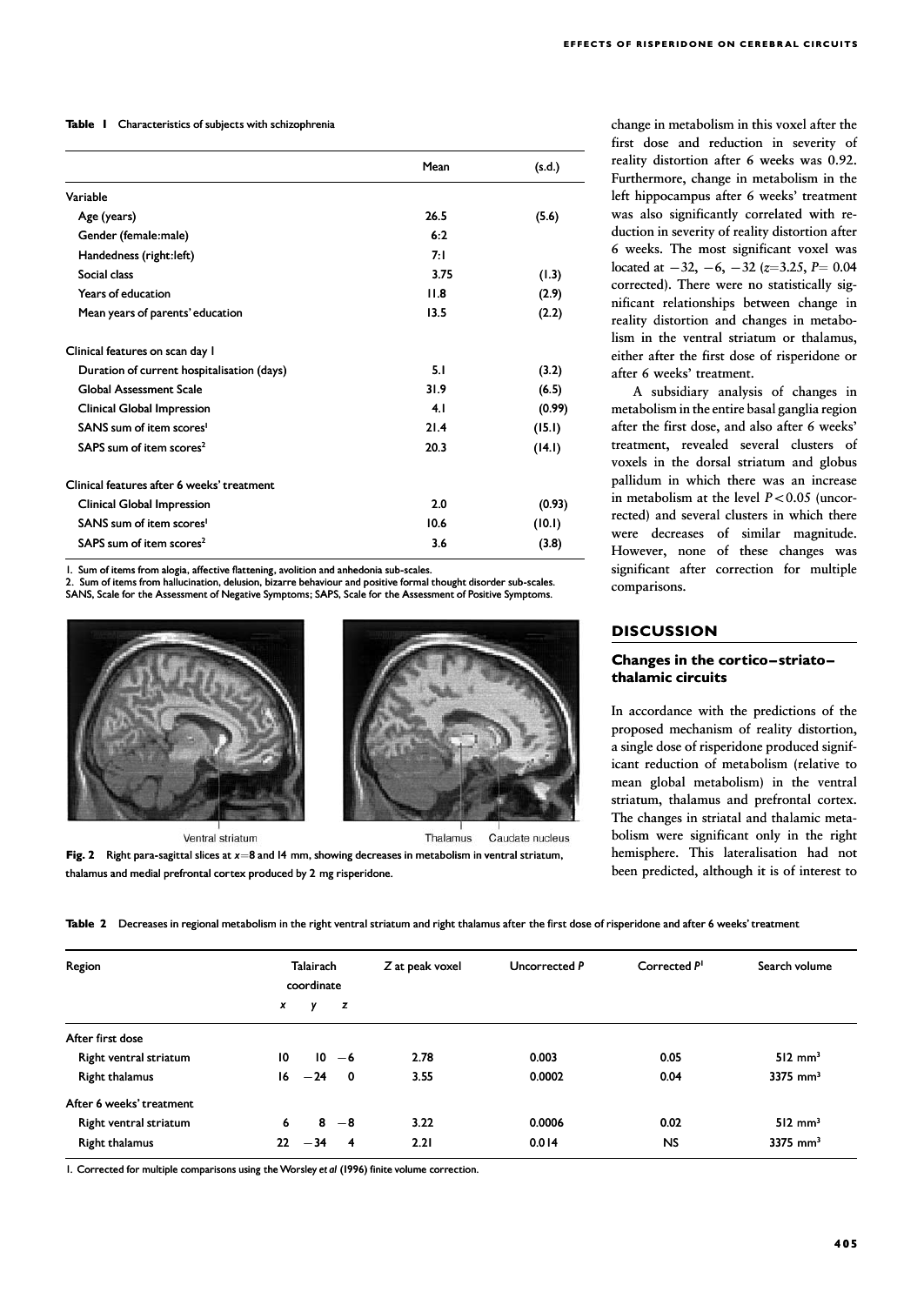#### Table I Characteristics of subjects with schizophrenia

|                                            | Mean | (s.d.) |  |  |
|--------------------------------------------|------|--------|--|--|
| Variable                                   |      |        |  |  |
| Age (years)                                | 26.5 | (5.6)  |  |  |
| Gender (female:male)                       | 6:2  |        |  |  |
| Handedness (right:left)                    | 7.I  |        |  |  |
| Social class                               | 3.75 | (1.3)  |  |  |
| Years of education                         | 11.8 | (2.9)  |  |  |
| Mean years of parents' education           | 13.5 | (2.2)  |  |  |
| Clinical features on scan day I            |      |        |  |  |
| Duration of current hospitalisation (days) | 5.1  | (3.2)  |  |  |
| <b>Global Assessment Scale</b>             | 31.9 | (6.5)  |  |  |
| <b>Clinical Global Impression</b>          | 4.1  | (0.99) |  |  |
| SANS sum of item scores <sup>1</sup>       | 21.4 | (15.1) |  |  |
| SAPS sum of item scores <sup>2</sup>       | 20.3 | (14.1) |  |  |
| Clinical features after 6 weeks' treatment |      |        |  |  |
| <b>Clinical Global Impression</b>          | 2.0  | (0.93) |  |  |
| SANS sum of item scores <sup>1</sup>       | 10.6 | (10.1) |  |  |
| SAPS sum of item scores <sup>2</sup>       | 3.6  | (3.8)  |  |  |
|                                            |      |        |  |  |

I. Sum of items from alogia, affective flattening, avolition and anhedonia sub-scales.

Sum of items from hallucination, delusion, bizarre behaviour and positive formal thought disorder sub-scales. SANS, Scale for the Assessment of Negative Symptoms; SAPS, Scale for the Assessment of Positive Symptoms.





Ventral striatum Thalamus Caudate nucleus Fig. 2 Right para-sagittal slices at  $x=8$  and 14 mm, showing decreases in metabolism in ventral striatum, thalamus and medial prefrontal cortex produced by 2 mg risperidone.

change in metabolism in this voxel after the first dose and reduction in severity of reality distortion after 6 weeks was 0.92. Furthermore, change in metabolism in the left hippocampus after 6 weeks' treatment was also significantly correlated with reduction in severity of reality distortion after 6 weeks. The most significant voxel was located at  $-32$ ,  $-6$ ,  $-32$  ( $z=3.25$ ,  $P=0.04$ corrected). There were no statistically significant relationships between change in reality distortion and changes in metabolism in the ventral striatum or thalamus, either after the first dose of risperidone or after 6 weeks' treatment.

A subsidiary analysis of changes in metabolism in the entire basal ganglia region after the first dose, and also after 6 weeks' treatment, revealed several clusters of voxels in the dorsal striatum and globus pallidum in which there was an increase in metabolism at the level  $P < 0.05$  (uncorrected) and several clusters in which there were decreases of similar magnitude. However, none of these changes was significant after correction for multiple comparisons.

#### **DISCUSSION**

#### Changes in the cortico-striatothalamic circuits

In accordance with the predictions of the proposed mechanism of reality distortion, a single dose of risperidone produced significant reduction of metabolism (relative to mean global metabolism) in the ventral striatum, thalamus and prefrontal cortex. The changes in striatal and thalamic metabolism were significant only in the right hemisphere. This lateralisation had not been predicted, although it is of interest to

Table 2 Decreases in regional metabolism in the right ventral striatum and right thalamus after the first dose of risperidone and after 6 weeks' treatment

| Region                   | Talairach<br>coordinate                | Z at peak voxel | <b>Uncorrected P</b> | Corrected P | Search volume          |
|--------------------------|----------------------------------------|-----------------|----------------------|-------------|------------------------|
|                          | $\boldsymbol{x}$<br>$\mathbf{z}$<br>у. |                 |                      |             |                        |
| After first dose         |                                        |                 |                      |             |                        |
| Right ventral striatum   | 10<br>$10 - 6$                         | 2.78            | 0.003                | 0.05        | $512 \text{ mm}^3$     |
| Right thalamus           | $-24$<br>16<br>$\mathbf{0}$            | 3.55            | 0.0002               | 0.04        | $3375$ mm <sup>3</sup> |
| After 6 weeks' treatment |                                        |                 |                      |             |                        |
| Right ventral striatum   | $8 - 8$<br>6                           | 3.22            | 0.0006               | 0.02        | $512 \text{ mm}^3$     |
| Right thalamus           | $22 - 34$                              | 2.21<br>- 4     | 0.014                | <b>NS</b>   | $3375$ mm <sup>3</sup> |

I. Corrected for multiple comparisons using the Worsley et al (1996) finite volume correction.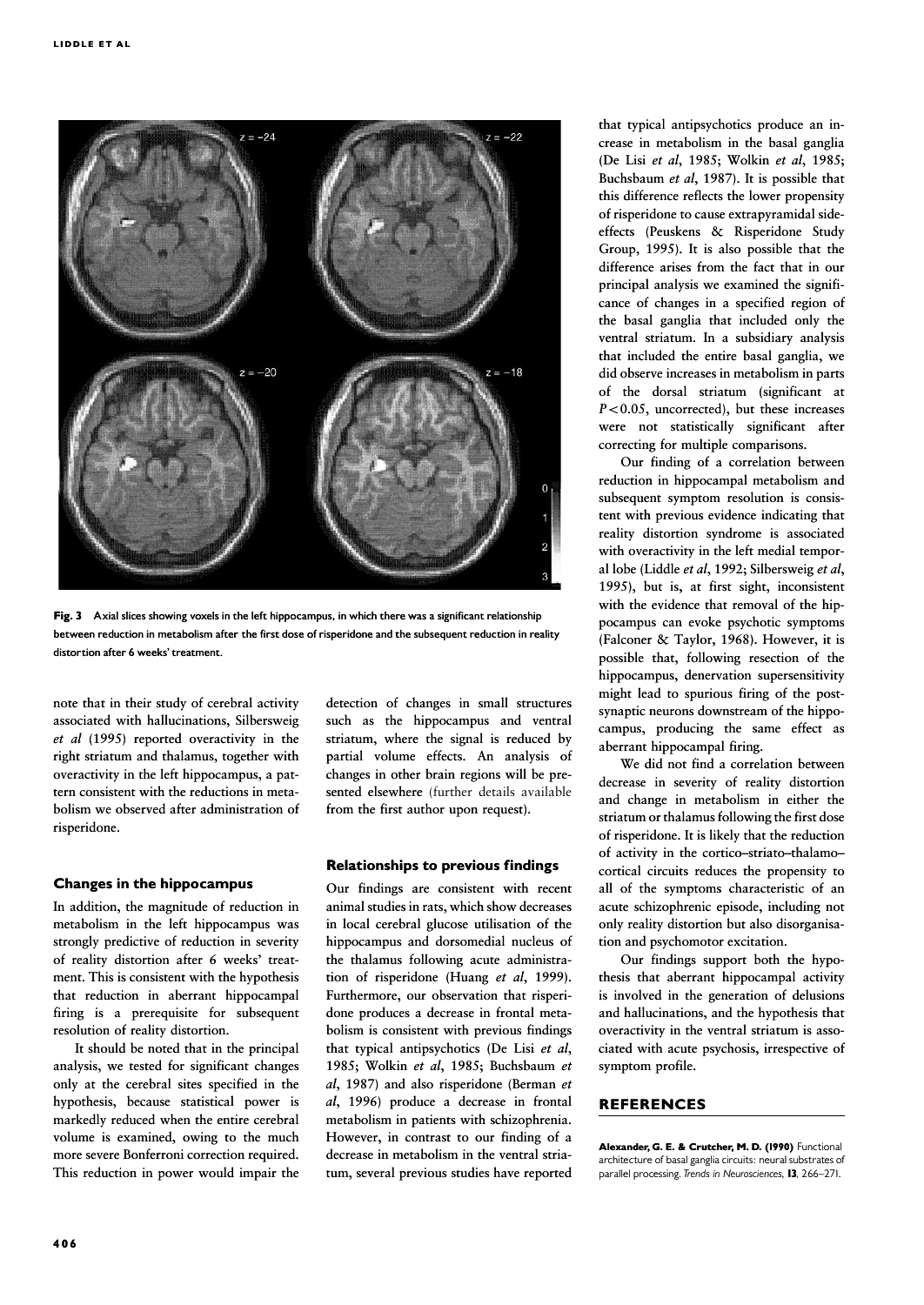

Fig. 3 Axial slices showing voxels in the left hippocampus, in which there was a significant relationship between reduction in metabolism after the first dose of risperidone and the subsequent reduction in reality distortion after 6 weeks' treatment.

note that in their study of cerebral activity associated with hallucinations, Silbersweig et al (1995) reported overactivity in the right striatum and thalamus, together with overactivity in the left hippocampus, a pattern consistent with the reductions in metabolism we observed after administration of risperidone.

**Changes in the hippocampus** 

In addition, the magnitude of reduction in metabolism in the left hippocampus was strongly predictive of reduction in severity of reality distortion after 6 weeks' treatment. This is consistent with the hypothesis that reduction in aberrant hippocampal firing is a prerequisite for subsequent resolution of reality distortion.

It should be noted that in the principal analysis, we tested for significant changes only at the cerebral sites specified in the hypothesis, because statistical power is markedly reduced when the entire cerebral volume is examined, owing to the much more severe Bonferroni correction required. This reduction in power would impair the detection of changes in small structures such as the hippocampus and ventral striatum, where the signal is reduced by partial volume effects. An analysis of changes in other brain regions will be presented elsewhere (further details available from the first author upon request).

## **Relationships to previous findings**

Our findings are consistent with recent animal studies in rats, which show decreases in local cerebral glucose utilisation of the hippocampus and dorsomedial nucleus of the thalamus following acute administration of risperidone (Huang et al. 1999). Furthermore, our observation that risperidone produces a decrease in frontal metabolism is consistent with previous findings that typical antipsychotics (De Lisi et al. 1985; Wolkin et al, 1985; Buchsbaum et al, 1987) and also risperidone (Berman et al, 1996) produce a decrease in frontal metabolism in patients with schizophrenia. However, in contrast to our finding of a decrease in metabolism in the ventral striatum, several previous studies have reported that typical antipsychotics produce an increase in metabolism in the basal ganglia (De Lisi et al, 1985; Wolkin et al, 1985; Buchsbaum et al, 1987). It is possible that this difference reflects the lower propensity of risperidone to cause extrapyramidal sideeffects (Peuskens & Risperidone Study Group, 1995). It is also possible that the difference arises from the fact that in our principal analysis we examined the significance of changes in a specified region of the basal ganglia that included only the ventral striatum. In a subsidiary analysis that included the entire basal ganglia, we did observe increases in metabolism in parts of the dorsal striatum (significant at  $P < 0.05$ , uncorrected), but these increases were not statistically significant after correcting for multiple comparisons.

Our finding of a correlation between reduction in hippocampal metabolism and subsequent symptom resolution is consistent with previous evidence indicating that reality distortion syndrome is associated with overactivity in the left medial temporal lobe (Liddle et al, 1992; Silbersweig et al, 1995), but is, at first sight, inconsistent with the evidence that removal of the hippocampus can evoke psychotic symptoms (Falconer & Taylor, 1968). However, it is possible that, following resection of the hippocampus, denervation supersensitivity might lead to spurious firing of the postsynaptic neurons downstream of the hippocampus, producing the same effect as aberrant hippocampal firing.

We did not find a correlation between decrease in severity of reality distortion and change in metabolism in either the striatum or thalamus following the first dose of risperidone. It is likely that the reduction of activity in the cortico-striato-thalamocortical circuits reduces the propensity to all of the symptoms characteristic of an acute schizophrenic episode, including not only reality distortion but also disorganisation and psychomotor excitation.

Our findings support both the hypothesis that aberrant hippocampal activity is involved in the generation of delusions and hallucinations, and the hypothesis that overactivity in the ventral striatum is associated with acute psychosis, irrespective of symptom profile.

#### **REFERENCES**

Alexander, G. E. & Crutcher, M. D. (1990) Functional architecture of basal ganglia circuits: neural substrates of parallel processing. Trends in Neurosciences, 13, 266-271.